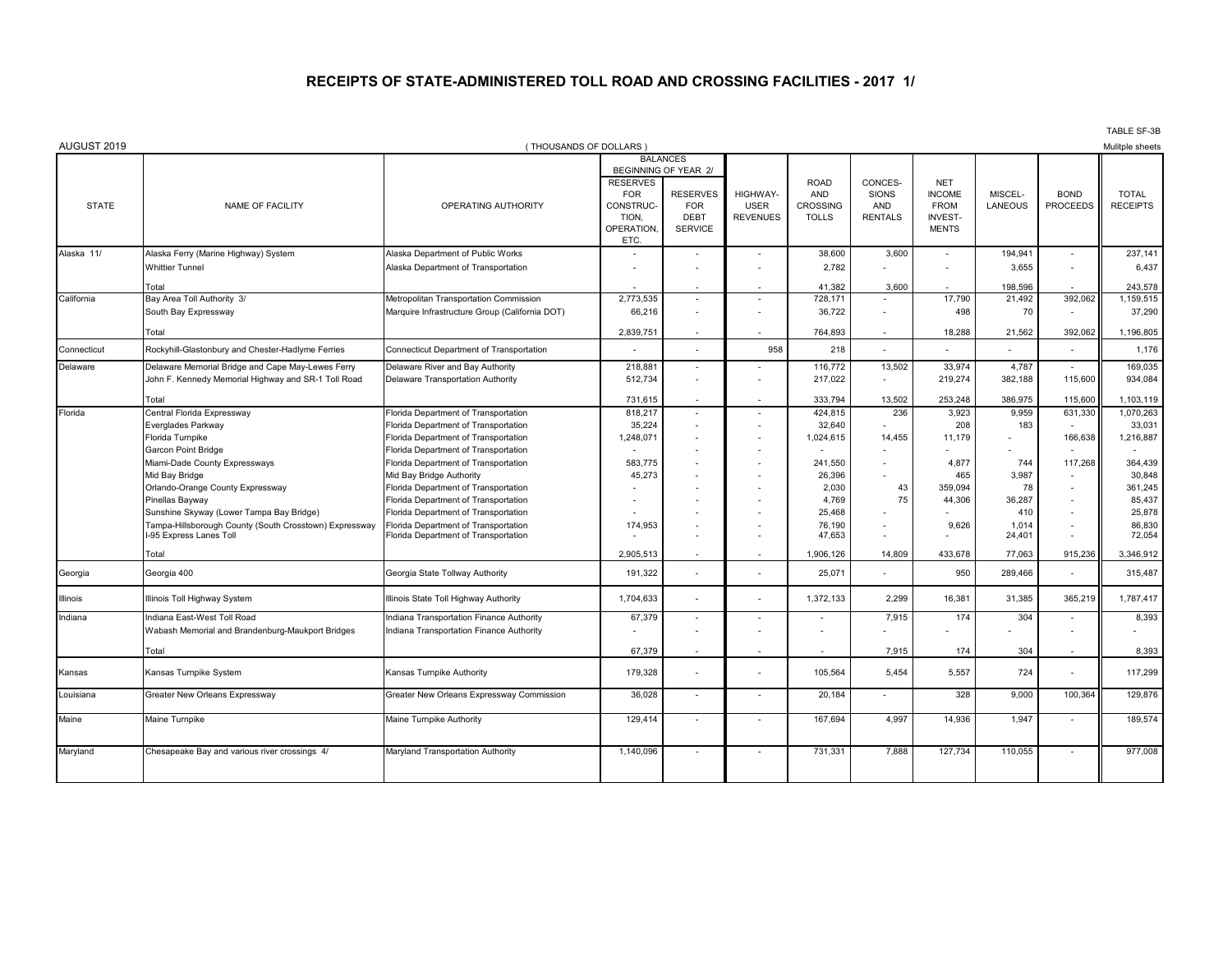## **RECEIPTS OF STATE-ADMINISTERED TOLL ROAD AND CROSSING FACILITIES - 2017 1/**

| AUGUST 2019  |                                                        | (THOUSANDS OF DOLLARS)                         |                      |                          |                          |                 |                |                |         |                          | Mulitple sheets |
|--------------|--------------------------------------------------------|------------------------------------------------|----------------------|--------------------------|--------------------------|-----------------|----------------|----------------|---------|--------------------------|-----------------|
|              |                                                        |                                                |                      | <b>BALANCES</b>          |                          |                 |                |                |         |                          |                 |
|              |                                                        |                                                | BEGINNING OF YEAR 2/ |                          |                          |                 |                |                |         |                          |                 |
|              |                                                        |                                                | <b>RESERVES</b>      |                          |                          | <b>ROAD</b>     | CONCES-        | <b>NET</b>     |         |                          |                 |
|              |                                                        |                                                | <b>FOR</b>           | <b>RESERVES</b>          | <b>HIGHWAY-</b>          | <b>AND</b>      | <b>SIONS</b>   | <b>INCOME</b>  | MISCEL- | <b>BOND</b>              | <b>TOTAL</b>    |
| <b>STATE</b> | NAME OF FACILITY                                       | OPERATING AUTHORITY                            | CONSTRUC-            | <b>FOR</b>               | <b>USER</b>              | <b>CROSSING</b> | AND            | <b>FROM</b>    | LANEOUS | <b>PROCEEDS</b>          | <b>RECEIPTS</b> |
|              |                                                        |                                                | TION.                | <b>DEBT</b>              | <b>REVENUES</b>          | <b>TOLLS</b>    | <b>RENTALS</b> | <b>INVEST-</b> |         |                          |                 |
|              |                                                        |                                                | OPERATION.           | <b>SERVICE</b>           |                          |                 |                | <b>MENTS</b>   |         |                          |                 |
| Alaska 11/   | Alaska Ferry (Marine Highway) System                   | Alaska Department of Public Works              | <b>ETC</b>           |                          |                          | 38,600          | 3,600          | $\blacksquare$ | 194,941 |                          | 237,141         |
|              | <b>Whittier Tunnel</b>                                 | Alaska Department of Transportation            |                      |                          |                          | 2,782           |                |                | 3,655   | $\overline{\phantom{a}}$ | 6,437           |
|              |                                                        |                                                |                      |                          |                          |                 |                |                |         |                          |                 |
|              | Total                                                  |                                                |                      |                          |                          | 41,382          | 3,600          |                | 198,596 |                          | 243,578         |
| California   | Bay Area Toll Authority 3/                             | Metropolitan Transportation Commission         | 2,773,535            | $\overline{\phantom{a}}$ | $\overline{\phantom{a}}$ | 728,171         |                | 17.790         | 21,492  | 392,062                  | 1,159,515       |
|              | South Bay Expressway                                   | Marquire Infrastructure Group (California DOT) | 66,216               |                          |                          | 36,722          |                | 498            | 70      |                          | 37,290          |
|              | Total                                                  |                                                | 2,839,751            | $\overline{\phantom{a}}$ |                          | 764,893         |                | 18,288         | 21,562  | 392,062                  | 1,196,805       |
| Connecticut  | Rockyhill-Glastonbury and Chester-Hadlyme Ferries      | Connecticut Department of Transportation       |                      |                          | 958                      | 218             |                |                |         |                          | 1,176           |
| Delaware     | Delaware Memorial Bridge and Cape May-Lewes Ferry      | Delaware River and Bay Authority               | 218,881              | $\overline{\phantom{a}}$ |                          | 116,772         | 13,502         | 33,974         | 4,787   |                          | 169,035         |
|              | John F. Kennedy Memorial Highway and SR-1 Toll Road    | Delaware Transportation Authority              | 512,734              |                          |                          | 217,022         | ۰              | 219,274        | 382,188 | 115,600                  | 934,084         |
|              | Total                                                  |                                                | 731,615              |                          |                          | 333,794         | 13,502         | 253,248        | 386.975 | 115,600                  | 1,103,119       |
| Florida      | Central Florida Expressway                             | Florida Department of Transportation           | 818,217              |                          |                          | 424,815         | 236            | 3,923          | 9.959   | 631,330                  | 1,070,263       |
|              | Everglades Parkway                                     | Florida Department of Transportation           | 35,224               |                          |                          | 32,640          |                | 208            | 183     |                          | 33,031          |
|              | Florida Turnpike                                       | Florida Department of Transportation           | 1,248,071            |                          |                          | 1,024,615       | 14,455         | 11,179         |         | 166,638                  | 1,216,887       |
|              | <b>Garcon Point Bridge</b>                             | Florida Department of Transportation           |                      |                          |                          |                 |                |                |         |                          |                 |
|              | Miami-Dade County Expressways                          | Florida Department of Transportation           | 583,775              |                          |                          | 241,550         |                | 4,877          | 744     | 117,268                  | 364,439         |
|              | Mid Bay Bridge                                         | Mid Bay Bridge Authority                       | 45,273               |                          |                          | 26,396          |                | 465            | 3,987   |                          | 30,848          |
|              | Orlando-Orange County Expressway                       | Florida Department of Transportation           |                      |                          |                          | 2,030           | 43             | 359,094        | 78      |                          | 361,245         |
|              | Pinellas Bayway                                        | Florida Department of Transportation           |                      |                          |                          | 4,769           | 75             | 44,306         | 36,287  |                          | 85,437          |
|              | Sunshine Skyway (Lower Tampa Bay Bridge)               | Florida Department of Transportation           |                      |                          |                          | 25,468          |                |                | 410     |                          | 25,878          |
|              | Tampa-Hillsborough County (South Crosstown) Expressway | Florida Department of Transportation           | 174,953              |                          |                          | 76,190          |                | 9,626          | 1.014   |                          | 86,830          |
|              | I-95 Express Lanes Toll                                | Florida Department of Transportation           |                      |                          |                          | 47,653          |                |                | 24,401  |                          | 72,054          |
|              | Total                                                  |                                                | 2,905,513            | $\overline{\phantom{a}}$ | $\overline{\phantom{a}}$ | 1,906,126       | 14.809         | 433.678        | 77.063  | 915.236                  | 3,346,912       |
| Georgia      | Georgia 400                                            | Georgia State Tollway Authority                | 191.322              |                          |                          | 25.071          |                | 950            | 289.466 |                          | 315.487         |
| Illinois     | Illinois Toll Highway System                           | Illinois State Toll Highway Authority          | 1,704,633            |                          |                          | 1,372,133       | 2,299          | 16,381         | 31,385  | 365,219                  | 1,787,417       |
| Indiana      | Indiana East-West Toll Road                            | Indiana Transportation Finance Authority       | 67,379               | $\overline{\phantom{a}}$ |                          |                 | 7,915          | 174            | 304     |                          | 8,393           |
|              | Wabash Memorial and Brandenburg-Maukport Bridges       | ndiana Transportation Finance Authority        |                      |                          |                          |                 |                |                |         |                          |                 |
|              |                                                        |                                                |                      |                          |                          |                 |                |                |         |                          |                 |
|              | Total                                                  |                                                | 67,379               | $\overline{\phantom{a}}$ |                          |                 | 7.915          | 174            | 304     |                          | 8,393           |
| Kansas       | Kansas Turnpike System                                 | Kansas Turnpike Authority                      | 179,328              |                          |                          | 105,564         | 5,454          | 5,557          | 724     |                          | 117,299         |
| Louisiana    | Greater New Orleans Expressway                         | Greater New Orleans Expressway Commission      | 36,028               | $\overline{\phantom{a}}$ | $\overline{a}$           | 20,184          | ۰              | 328            | 9,000   | 100,364                  | 129,876         |
| Maine        | Maine Turnpike                                         | Maine Turnpike Authority                       | 129,414              | $\overline{\phantom{a}}$ | $\overline{\phantom{a}}$ | 167,694         | 4,997          | 14,936         | 1,947   | $\overline{\phantom{a}}$ | 189,574         |
|              |                                                        |                                                |                      |                          |                          |                 |                |                |         |                          |                 |
| Maryland     | Chesapeake Bay and various river crossings 4/          | Maryland Transportation Authority              | 1,140,096            |                          |                          | 731,331         | 7,888          | 127.734        | 110,055 |                          | 977,008         |
|              |                                                        |                                                |                      |                          |                          |                 |                |                |         |                          |                 |

TABLE SF-3B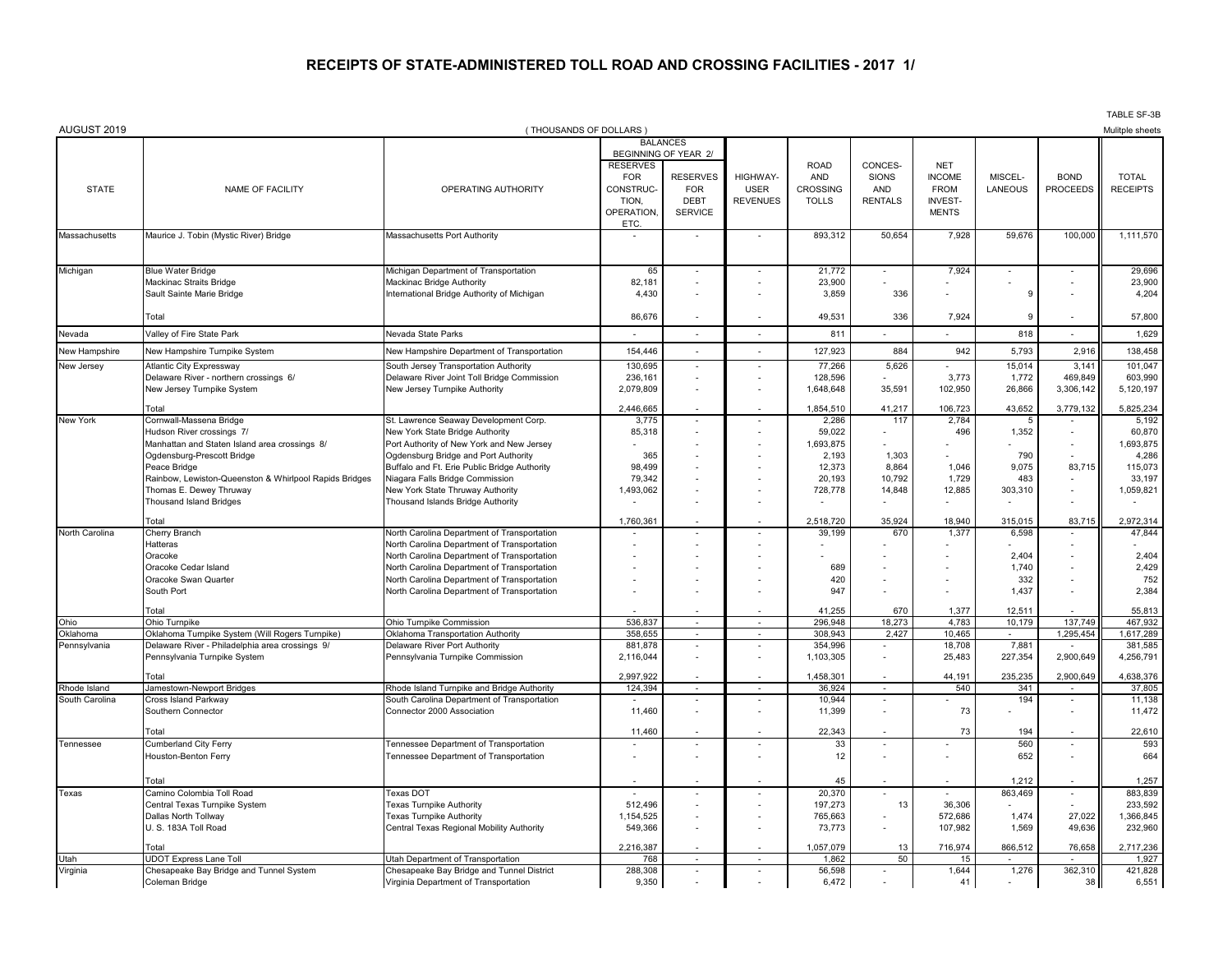## **RECEIPTS OF STATE-ADMINISTERED TOLL ROAD AND CROSSING FACILITIES - 2017 1/**

|                          |                                                                                                    |                                                                                            |                                                                                 |                                                                                        |                                            |                                                       |                                                  |                                                                              |                    |                                | TABLE SF-3B                     |
|--------------------------|----------------------------------------------------------------------------------------------------|--------------------------------------------------------------------------------------------|---------------------------------------------------------------------------------|----------------------------------------------------------------------------------------|--------------------------------------------|-------------------------------------------------------|--------------------------------------------------|------------------------------------------------------------------------------|--------------------|--------------------------------|---------------------------------|
| AUGUST 2019              |                                                                                                    |                                                                                            | (THOUSANDS OF DOLLARS)                                                          |                                                                                        |                                            |                                                       |                                                  |                                                                              |                    |                                | Mulitple sheets                 |
|                          |                                                                                                    |                                                                                            | <b>BALANCES</b>                                                                 |                                                                                        |                                            |                                                       |                                                  |                                                                              |                    |                                |                                 |
| <b>STATE</b>             | <b>NAME OF FACILITY</b>                                                                            | OPERATING AUTHORITY                                                                        | <b>RESERVES</b><br><b>FOR</b><br>CONSTRUC-<br>TION,<br>OPERATION,<br><b>ETC</b> | BEGINNING OF YEAR 2/<br><b>RESERVES</b><br><b>FOR</b><br><b>DEBT</b><br><b>SERVICE</b> | HIGHWAY-<br><b>USER</b><br><b>REVENUES</b> | <b>ROAD</b><br>AND<br><b>CROSSING</b><br><b>TOLLS</b> | CONCES-<br><b>SIONS</b><br>AND<br><b>RENTALS</b> | <b>NET</b><br><b>INCOME</b><br><b>FROM</b><br><b>INVEST-</b><br><b>MENTS</b> | MISCEL-<br>LANEOUS | <b>BOND</b><br><b>PROCEEDS</b> | <b>TOTAL</b><br><b>RECEIPTS</b> |
| Massachusetts            | Maurice J. Tobin (Mystic River) Bridge                                                             | Massachusetts Port Authority                                                               | $\overline{\phantom{a}}$                                                        | $\overline{\phantom{a}}$                                                               |                                            | 893,312                                               | 50,654                                           | 7,928                                                                        | 59,676             | 100,000                        | 1,111,570                       |
|                          |                                                                                                    |                                                                                            |                                                                                 |                                                                                        |                                            |                                                       |                                                  |                                                                              |                    |                                |                                 |
| Michigan                 | <b>Blue Water Bridge</b>                                                                           | Michigan Department of Transportation                                                      | 65                                                                              |                                                                                        |                                            | 21,772                                                |                                                  | 7,924                                                                        |                    |                                | 29,696                          |
|                          | Mackinac Straits Bridge                                                                            | Mackinac Bridge Authority                                                                  | 82,181                                                                          |                                                                                        |                                            | 23,900                                                |                                                  |                                                                              |                    |                                | 23,900                          |
|                          | Sault Sainte Marie Bridge                                                                          | International Bridge Authority of Michigan                                                 | 4,430                                                                           |                                                                                        |                                            | 3,859                                                 | 336                                              |                                                                              | -9                 |                                | 4,204                           |
|                          | Total                                                                                              |                                                                                            | 86.676                                                                          |                                                                                        |                                            | 49,531                                                | 336                                              | 7.924                                                                        |                    |                                | 57,800                          |
| Nevada                   | Valley of Fire State Park                                                                          | Nevada State Parks                                                                         | $\sim$                                                                          |                                                                                        |                                            | 811                                                   |                                                  |                                                                              | 818                | $\overline{a}$                 | 1,629                           |
| New Hampshire            | New Hampshire Turnpike System                                                                      | New Hampshire Department of Transportation                                                 | 154,446                                                                         | $\overline{\phantom{a}}$                                                               | $\overline{\phantom{a}}$                   | 127,923                                               | 884                                              | 942                                                                          | 5,793              | 2,916                          | 138,458                         |
| New Jersey               | <b>Atlantic City Expressway</b>                                                                    | South Jersey Transportation Authority                                                      | 130.695                                                                         |                                                                                        |                                            | 77,266                                                | 5,626                                            |                                                                              | 15,014             | 3,141                          | 101.047                         |
|                          | Delaware River - northern crossings 6/<br>New Jersey Turnpike System                               | Delaware River Joint Toll Bridge Commission<br>New Jersey Turnpike Authority               | 236,161<br>2,079,809                                                            | $\overline{a}$                                                                         |                                            | 128,596<br>1,648,648                                  | 35,591                                           | 3,773<br>102,950                                                             | 1,772<br>26,866    | 469,849<br>3,306,142           | 603,990<br>5,120,197            |
|                          |                                                                                                    |                                                                                            |                                                                                 |                                                                                        |                                            |                                                       |                                                  |                                                                              |                    |                                |                                 |
|                          | Total                                                                                              |                                                                                            | 2.446.665                                                                       |                                                                                        |                                            | 1,854,510                                             | 41.217                                           | 106.723                                                                      | 43,652             | 3.779.132                      | 5.825.234                       |
| New York                 | Cornwall-Massena Bridge<br>Hudson River crossings 7/                                               | St. Lawrence Seaway Development Corp.<br>New York State Bridge Authority                   | 3,775<br>85,318                                                                 | $\overline{\phantom{a}}$                                                               |                                            | 2,286<br>59,022                                       | 117                                              | 2,784<br>496                                                                 | -5<br>1,352        |                                | 5,192<br>60,870                 |
|                          | Manhattan and Staten Island area crossings 8/                                                      | Port Authority of New York and New Jersey                                                  |                                                                                 |                                                                                        |                                            | 1,693,875                                             |                                                  |                                                                              |                    |                                | 1,693,875                       |
|                          | Ogdensburg-Prescott Bridge                                                                         | Ogdensburg Bridge and Port Authority                                                       | 365                                                                             |                                                                                        |                                            | 2,193                                                 | 1,303                                            |                                                                              | 790                |                                | 4,286                           |
|                          | Peace Bridge                                                                                       | Buffalo and Ft. Erie Public Bridge Authority                                               | 98,499                                                                          |                                                                                        |                                            | 12,373                                                | 8,864                                            | 1,046                                                                        | 9,075              | 83,715                         | 115,073                         |
|                          | Rainbow, Lewiston-Queenston & Whirlpool Rapids Bridges                                             | Niagara Falls Bridge Commission                                                            | 79,342                                                                          |                                                                                        |                                            | 20,193                                                | 10,792                                           | 1,729                                                                        | 483                |                                | 33,197                          |
|                          | Thomas E. Dewey Thruway                                                                            | New York State Thruway Authority                                                           | 1,493,062                                                                       |                                                                                        |                                            | 728,778                                               | 14,848                                           | 12,885                                                                       | 303,310            |                                | 1,059,821                       |
|                          | <b>Thousand Island Bridges</b>                                                                     | Thousand Islands Bridge Authority                                                          |                                                                                 |                                                                                        |                                            |                                                       |                                                  |                                                                              |                    |                                |                                 |
|                          | Total                                                                                              |                                                                                            | 1,760,361                                                                       |                                                                                        |                                            | 2.518.720                                             | 35.924                                           | 18.940                                                                       | 315.015            | 83.715                         | 2,972,314                       |
| North Carolina           | Cherry Branch<br>Hatteras                                                                          | North Carolina Department of Transportation<br>North Carolina Department of Transportation |                                                                                 |                                                                                        |                                            | 39,199                                                | 670                                              | 1,377                                                                        | 6,598              |                                | 47,844                          |
|                          | Oracoke                                                                                            | North Carolina Department of Transportation                                                |                                                                                 |                                                                                        |                                            |                                                       |                                                  |                                                                              | 2,404              | $\overline{\phantom{a}}$       | 2,404                           |
|                          | Oracoke Cedar Island                                                                               | North Carolina Department of Transportation                                                |                                                                                 |                                                                                        |                                            | 689                                                   |                                                  |                                                                              | 1,740              | ÷,                             | 2,429                           |
|                          | Oracoke Swan Quarter                                                                               | North Carolina Department of Transportation                                                |                                                                                 |                                                                                        |                                            | 420                                                   |                                                  |                                                                              | 332                |                                | 752                             |
|                          | South Port                                                                                         | North Carolina Department of Transportation                                                |                                                                                 |                                                                                        |                                            | 947                                                   |                                                  |                                                                              | 1,437              |                                | 2,384                           |
|                          | Total                                                                                              |                                                                                            |                                                                                 |                                                                                        |                                            | 41,255                                                | 670                                              | 1,377                                                                        | 12,511             |                                | 55,813                          |
| Ohio                     | Ohio Turnpike                                                                                      | Ohio Turnpike Commission                                                                   | 536,837                                                                         |                                                                                        |                                            | 296,948                                               | 18,273                                           | 4,783                                                                        | 10,179             | 137,749                        | 467,932                         |
| Oklahoma<br>Pennsylvania | Oklahoma Turnpike System (Will Rogers Turnpike)<br>Delaware River - Philadelphia area crossings 9/ | Oklahoma Transportation Authority<br>Delaware River Port Authority                         | 358,655<br>881,878                                                              | $\overline{\phantom{a}}$<br>$\overline{\phantom{a}}$                                   |                                            | 308,943<br>354,996                                    | 2,427                                            | 10.465<br>18,708                                                             | 7,88'              | 1,295,454                      | 1,617,289<br>381,585            |
|                          | Pennsylvania Turnpike System                                                                       | Pennsylvania Turnpike Commission                                                           | 2,116,044                                                                       |                                                                                        |                                            | 1,103,305                                             |                                                  | 25,483                                                                       | 227,354            | 2,900,649                      | 4,256,791                       |
|                          | Total                                                                                              |                                                                                            | 2,997,922                                                                       |                                                                                        |                                            | 1,458,301                                             |                                                  | 44,191                                                                       | 235,235            | 2,900,649                      | 4,638,376                       |
| Rhode Island             | Jamestown-Newport Bridges                                                                          | Rhode Island Turnpike and Bridge Authority                                                 | 124,394                                                                         | $\sim$                                                                                 | $\sim$                                     | 36,924                                                | $\sim$                                           | 540                                                                          | 341                | $\overline{\phantom{a}}$       | 37,805                          |
| South Carolina           | Cross Island Parkway<br>Southern Connector                                                         | South Carolina Department of Transportation<br>Connector 2000 Association                  | 11,460                                                                          | $\sim$                                                                                 |                                            | 10,944<br>11,399                                      | $\overline{\phantom{a}}$                         | 73                                                                           | 194                | $\sim$                         | 11,138<br>11,472                |
|                          | Total                                                                                              |                                                                                            | 11,460                                                                          |                                                                                        |                                            | 22,343                                                |                                                  | 73                                                                           | 194                |                                | 22,610                          |
| Tennessee                | Cumberland City Ferry                                                                              | Tennessee Department of Transportation                                                     |                                                                                 |                                                                                        |                                            | 33                                                    |                                                  |                                                                              | 560                | $\overline{a}$                 | 593                             |
|                          | Houston-Benton Ferry                                                                               | Tennessee Department of Transportation                                                     |                                                                                 |                                                                                        |                                            | 12                                                    |                                                  |                                                                              | 652                |                                | 664                             |
|                          | Total                                                                                              |                                                                                            |                                                                                 |                                                                                        |                                            | 45                                                    |                                                  |                                                                              | 1,212              |                                | 1,257                           |
| Texas                    | Camino Colombia Toll Road                                                                          | <b>Texas DOT</b>                                                                           | 512,496                                                                         | $\overline{\phantom{a}}$                                                               |                                            | 20,370<br>197,273                                     | 13                                               | 36,306                                                                       | 863,469            |                                | 883,839<br>233,592              |
|                          | Central Texas Turnpike System<br>Dallas North Tollway                                              | <b>Texas Turnpike Authority</b><br><b>Texas Turnpike Authority</b>                         | 1,154,525                                                                       |                                                                                        |                                            | 765,663                                               |                                                  | 572,686                                                                      | 1,474              | 27,022                         | 1,366,845                       |
|                          | U. S. 183A Toll Road                                                                               | Central Texas Regional Mobility Authority                                                  | 549,366                                                                         |                                                                                        |                                            | 73,773                                                |                                                  | 107,982                                                                      | 1,569              | 49,636                         | 232,960                         |
|                          |                                                                                                    |                                                                                            |                                                                                 |                                                                                        |                                            |                                                       |                                                  |                                                                              |                    |                                |                                 |
| Utah                     | <b>Total</b><br><b>JDOT Express Lane Toll</b>                                                      | Utah Department of Transportation                                                          | 2,216,387<br>768                                                                |                                                                                        |                                            | 1,057,079<br>1.862                                    | 13<br>50                                         | 716,974<br>15                                                                | 866,512            | 76.658                         | 2,717,236<br>1.927              |
| Virginia                 | Chesapeake Bay Bridge and Tunnel System                                                            | Chesapeake Bay Bridge and Tunnel District                                                  | 288,308                                                                         | $\overline{\phantom{a}}$                                                               |                                            | 56,598                                                |                                                  | 1,644                                                                        | 1,276              | 362,310                        | 421,828                         |
|                          | Coleman Bridge                                                                                     | Virginia Department of Transportation                                                      | 9,350                                                                           |                                                                                        |                                            | 6,472                                                 |                                                  | 41                                                                           |                    | 38                             | 6,551                           |